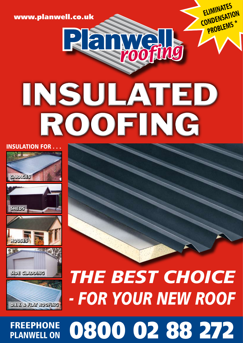# PLANWELL ON

# FREEPHONE 0800 02 88 272

*THE BEST CHOICE*

*- FOR YOUR NEW ROOF*











## INSULATION FOR . . .



Panyalle INSULATED

WWW.planwell.co.uk ELIMINATES **CONDENSATION** PROBLEMS \*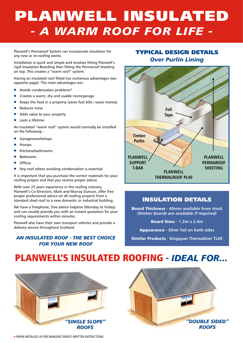### PLANWELL INSULATED *- A WARM ROOF FOR LIFE -*

Planwell's Permaroof System can incorporate insulation for any new or re-roofing works.

Installation is quick and simple and involves fitting Planwell's rigid Insulation Boarding then fitting the Permaroof sheeting on top. This creates a "warm roof" system.

Having an insulated roof fitted has numerous advantages (see opposite page). The main advantages are:-

- Avoids condensation problems\*
- Creates a warm, dry and usable room/garage
- Keeps the heat in a property (saves fuel bills / saves money)
- Reduces noise
- Adds value to your property
- Lasts a lifetime
- An insulated "warm roof" system would normally be installed on the following:-
- Garages/workshops
- Houses
- Kitchens/bathrooms
- **Bedrooms**
- **Offices**
- Any roof where avoiding condensation is essential

It is important that you purchase the correct materials for your roofing project and that you receive proper advice.

With over 25 years experience in the roofing industry, Planwell's Co-Directors, Mark and Murray Duncan, offer free proper professional advice on all roofing projects from a standard shed roof to a new domestic or industrial building.

We have a freephone, free advice helpline (Monday to Friday) and can usually provide you with an instant quotation for your roofing requirements within minutes.

Planwell also have their own transport vehicles and provide a delivery service throughout Scotland.

#### *An insulated roof - the best choice for your new roof*

#### TYPICAL DESIGN DETAILS *Over Purlin Lining*



#### INSULATION DETAILS

Board Thickness **- 40mm available from stock** *(thicker boards are available if required)*

Board Sizes **- 1.2m x 2.4m**

Appearance **- Silver foil on both sides**

Similar Products **- Kingspan Thermaliner TL60**

### Planwell's INSULATED ROOFING *- IDEAL FOR...*





\* WHEN INSTALLED AS PER MANUFACTURER'S WRITTEN INSTRUCTIONS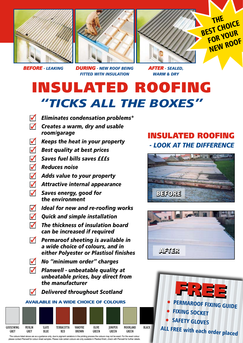





*BEFORE - LEAKING DURING - NEW ROOF BEING FITTED WITH INSULATION*

*AFTER - SEALED, WARM & DRY*

### INSULATED ROOFING *"TICKS ALL THE BOXES"*

- **7** Eliminates condensation problems\*
- **1** Creates a warm, dry and usable *room/garage*
- **1** Keeps the heat in your property
- **3** Best quality at best prices
- n *Saves fuel bills saves £££s*  $\blacklozenge$
- n *Reduces noise*  $\overline{\mathcal{U}}$
- **1** Adds value to your property
- **1** Attractive internal appearance
- n *Saves energy, good for the environment*  $\overline{\mathcal{U}}$
- **7** Ideal for new and re-roofing works
- **7** Quick and simple installation
- n *The thickness of insulation board can be increased if required*  $\overline{\mathcal{U}}$
- **1** Permaroof sheeting is available in *a wide choice of colours, and in either Polyester or Plastisol finishes*
- **1** No "minimum order" charges
- **1** Planwell unbeatable quality at *unbeatable prices, buy direct from the manufacturer*
- n *Delivered throughout Scotland*  $\sqrt{2}$

#### available in a wide choice of colours



please contact Planwell for colour sheet samples. Please note certain colours are only available in Plastisol finish, check with Planwell for further deta

### INSULATED ROOFING *- LOOK AT THE DIFFERENCE*